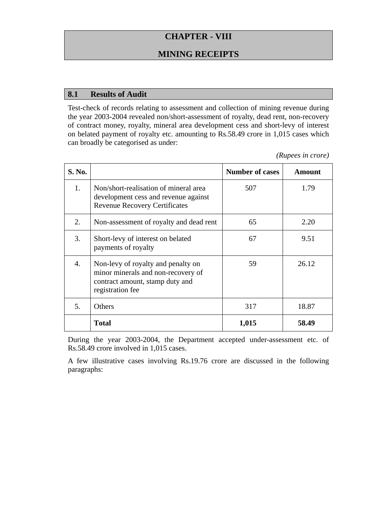# **CHAPTER - VIII**

## **MINING RECEIPTS**

#### **8.1 Results of Audit**

Test-check of records relating to assessment and collection of mining revenue during the year 2003-2004 revealed non/short-assessment of royalty, dead rent, non-recovery of contract money, royalty, mineral area development cess and short-levy of interest on belated payment of royalty etc. amounting to Rs.58.49 crore in 1,015 cases which can broadly be categorised as under:

*(Rupees in crore)* 

| <b>S. No.</b> |                                                                                                                                 | <b>Number of cases</b> | Amount |
|---------------|---------------------------------------------------------------------------------------------------------------------------------|------------------------|--------|
| 1.            | Non/short-realisation of mineral area<br>development cess and revenue against<br><b>Revenue Recovery Certificates</b>           | 507                    | 1.79   |
| 2.            | Non-assessment of royalty and dead rent                                                                                         | 65                     | 2.20   |
| 3.            | Short-levy of interest on belated<br>payments of royalty                                                                        | 67                     | 9.51   |
| 4.            | Non-levy of royalty and penalty on<br>minor minerals and non-recovery of<br>contract amount, stamp duty and<br>registration fee | 59                     | 26.12  |
| 5.            | Others                                                                                                                          | 317                    | 18.87  |
|               | <b>Total</b>                                                                                                                    | 1,015                  | 58.49  |

During the year 2003-2004, the Department accepted under-assessment etc. of Rs.58.49 crore involved in 1,015 cases.

A few illustrative cases involving Rs.19.76 crore are discussed in the following paragraphs: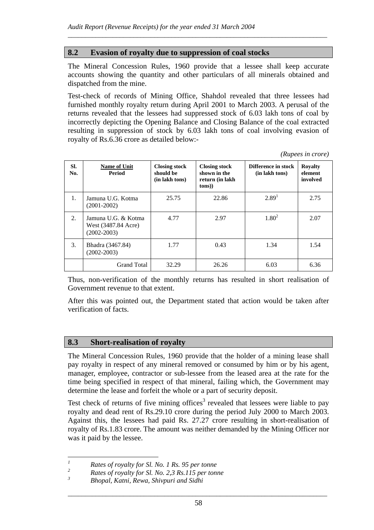## **8.2 Evasion of royalty due to suppression of coal stocks**

The Mineral Concession Rules, 1960 provide that a lessee shall keep accurate accounts showing the quantity and other particulars of all minerals obtained and dispatched from the mine.

\_\_\_\_\_\_\_\_\_\_\_\_\_\_\_\_\_\_\_\_\_\_\_\_\_\_\_\_\_\_\_\_\_\_\_\_\_\_\_\_\_\_\_\_\_\_\_\_\_\_\_\_\_\_\_\_\_\_\_\_\_\_\_\_\_\_\_\_\_\_\_\_\_\_\_

Test-check of records of Mining Office, Shahdol revealed that three lessees had furnished monthly royalty return during April 2001 to March 2003. A perusal of the returns revealed that the lessees had suppressed stock of 6.03 lakh tons of coal by incorrectly depicting the Opening Balance and Closing Balance of the coal extracted resulting in suppression of stock by 6.03 lakh tons of coal involving evasion of royalty of Rs.6.36 crore as detailed below:-

*(Rupees in crore)*

| SI.<br>No. | <b>Name of Unit</b><br><b>Period</b>                          | <b>Closing stock</b><br>should be<br>(in lakh tons) | <b>Closing stock</b><br>shown in the<br>return (in lakh<br>(tons) | Difference in stock<br>(in lakh tons) | <b>Royalty</b><br>element<br>involved |
|------------|---------------------------------------------------------------|-----------------------------------------------------|-------------------------------------------------------------------|---------------------------------------|---------------------------------------|
| 1.         | Jamuna U.G. Kotma<br>$(2001 - 2002)$                          | 25.75                                               | 22.86                                                             | 2.89 <sup>1</sup>                     | 2.75                                  |
| 2.         | Jamuna U.G. & Kotma<br>West (3487.84 Acre)<br>$(2002 - 2003)$ | 4.77                                                | 2.97                                                              | $1.80^{2}$                            | 2.07                                  |
| 3.         | Bhadra (3467.84)<br>$(2002 - 2003)$                           | 1.77                                                | 0.43                                                              | 1.34                                  | 1.54                                  |
|            | <b>Grand Total</b>                                            | 32.29                                               | 26.26                                                             | 6.03                                  | 6.36                                  |

Thus, non-verification of the monthly returns has resulted in short realisation of Government revenue to that extent.

After this was pointed out, the Department stated that action would be taken after verification of facts.

## **8.3 Short-realisation of royalty**

The Mineral Concession Rules, 1960 provide that the holder of a mining lease shall pay royalty in respect of any mineral removed or consumed by him or by his agent, manager, employee, contractor or sub-lessee from the leased area at the rate for the time being specified in respect of that mineral, failing which, the Government may determine the lease and forfeit the whole or a part of security deposit.

Test check of returns of five mining offices<sup>3</sup> revealed that lessees were liable to pay royalty and dead rent of Rs.29.10 crore during the period July 2000 to March 2003. Against this, the lessees had paid Rs. 27.27 crore resulting in short-realisation of royalty of Rs.1.83 crore. The amount was neither demanded by the Mining Officer nor was it paid by the lessee.

 $\overline{a}$ 

*<sup>1</sup> Rates of royalty for Sl. No. 1 Rs. 95 per tonne*

*<sup>2</sup> Rates of royalty for Sl. No. 2,3 Rs.115 per tonne*

*<sup>3</sup> Bhopal, Katni, Rewa, Shivpuri and Sidhi*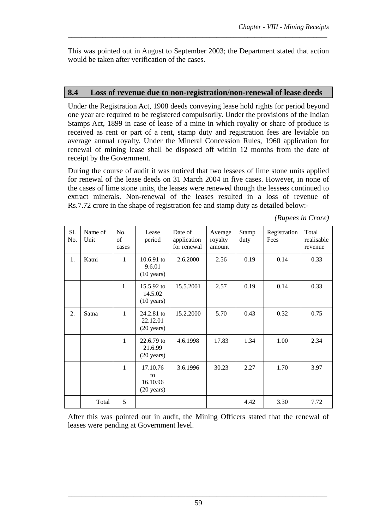This was pointed out in August to September 2003; the Department stated that action would be taken after verification of the cases.

\_\_\_\_\_\_\_\_\_\_\_\_\_\_\_\_\_\_\_\_\_\_\_\_\_\_\_\_\_\_\_\_\_\_\_\_\_\_\_\_\_\_\_\_\_\_\_\_\_\_\_\_\_\_\_\_\_\_\_\_\_\_\_\_\_\_\_\_\_\_\_\_\_\_\_

### **8.4 Loss of revenue due to non-registration/non-renewal of lease deeds**

Under the Registration Act, 1908 deeds conveying lease hold rights for period beyond one year are required to be registered compulsorily. Under the provisions of the Indian Stamps Act, 1899 in case of lease of a mine in which royalty or share of produce is received as rent or part of a rent, stamp duty and registration fees are leviable on average annual royalty. Under the Mineral Concession Rules, 1960 application for renewal of mining lease shall be disposed off within 12 months from the date of receipt by the Government.

During the course of audit it was noticed that two lessees of lime stone units applied for renewal of the lease deeds on 31 March 2004 in five cases. However, in none of the cases of lime stone units, the leases were renewed though the lessees continued to extract minerals. Non-renewal of the leases resulted in a loss of revenue of Rs.7.72 crore in the shape of registration fee and stamp duty as detailed below:-

 *(Rupees in Crore)* 

| S1.<br>No. | Name of<br>Unit | No.<br>of<br>cases | Lease<br>period                                    | Date of<br>application<br>for renewal | Average<br>royalty<br>amount | Stamp<br>duty | Registration<br>Fees | Total<br>realisable<br>revenue |
|------------|-----------------|--------------------|----------------------------------------------------|---------------------------------------|------------------------------|---------------|----------------------|--------------------------------|
| 1.         | Katni           | 1                  | $10.6.91$ to<br>9.6.01<br>$(10 \text{ years})$     | 2.6.2000                              | 2.56                         | 0.19          | 0.14                 | 0.33                           |
|            |                 | 1.                 | 15.5.92 to<br>14.5.02<br>$(10 \text{ years})$      | 15.5.2001                             | 2.57                         | 0.19          | 0.14                 | 0.33                           |
| 2.         | Satna           | 1                  | $24.2.81$ to<br>22.12.01<br>$(20 \text{ years})$   | 15.2.2000                             | 5.70                         | 0.43          | 0.32                 | 0.75                           |
|            |                 | $\mathbf{1}$       | $22.6.79$ to<br>21.6.99<br>$(20 \text{ years})$    | 4.6.1998                              | 17.83                        | 1.34          | 1.00                 | 2.34                           |
|            |                 | $\mathbf{1}$       | 17.10.76<br>to<br>16.10.96<br>$(20 \text{ years})$ | 3.6.1996                              | 30.23                        | 2.27          | 1.70                 | 3.97                           |
|            | Total           | 5                  |                                                    |                                       |                              | 4.42          | 3.30                 | 7.72                           |

After this was pointed out in audit, the Mining Officers stated that the renewal of leases were pending at Government level.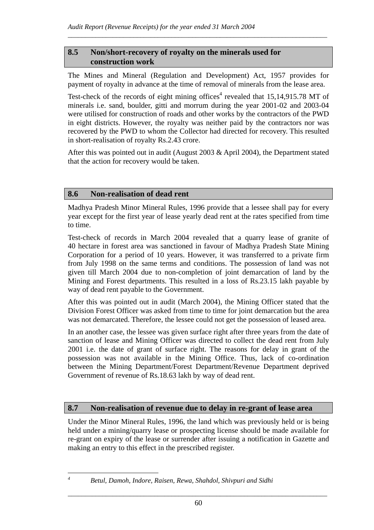## **8.5 Non/short-recovery of royalty on the minerals used for construction work**

The Mines and Mineral (Regulation and Development) Act, 1957 provides for payment of royalty in advance at the time of removal of minerals from the lease area.

\_\_\_\_\_\_\_\_\_\_\_\_\_\_\_\_\_\_\_\_\_\_\_\_\_\_\_\_\_\_\_\_\_\_\_\_\_\_\_\_\_\_\_\_\_\_\_\_\_\_\_\_\_\_\_\_\_\_\_\_\_\_\_\_\_\_\_\_\_\_\_\_\_\_\_

Test-check of the records of eight mining offices<sup>4</sup> revealed that  $15,14,915.78$  MT of minerals i.e. sand, boulder, gitti and morrum during the year 2001-02 and 2003-04 were utilised for construction of roads and other works by the contractors of the PWD in eight districts. However, the royalty was neither paid by the contractors nor was recovered by the PWD to whom the Collector had directed for recovery. This resulted in short-realisation of royalty Rs.2.43 crore.

After this was pointed out in audit (August 2003 & April 2004), the Department stated that the action for recovery would be taken.

## **8.6 Non-realisation of dead rent**

Madhya Pradesh Minor Mineral Rules, 1996 provide that a lessee shall pay for every year except for the first year of lease yearly dead rent at the rates specified from time to time.

Test-check of records in March 2004 revealed that a quarry lease of granite of 40 hectare in forest area was sanctioned in favour of Madhya Pradesh State Mining Corporation for a period of 10 years. However, it was transferred to a private firm from July 1998 on the same terms and conditions. The possession of land was not given till March 2004 due to non-completion of joint demarcation of land by the Mining and Forest departments. This resulted in a loss of Rs.23.15 lakh payable by way of dead rent payable to the Government.

After this was pointed out in audit (March 2004), the Mining Officer stated that the Division Forest Officer was asked from time to time for joint demarcation but the area was not demarcated. Therefore, the lessee could not get the possession of leased area.

In an another case, the lessee was given surface right after three years from the date of sanction of lease and Mining Officer was directed to collect the dead rent from July 2001 i.e. the date of grant of surface right. The reasons for delay in grant of the possession was not available in the Mining Office. Thus, lack of co-ordination between the Mining Department/Forest Department/Revenue Department deprived Government of revenue of Rs.18.63 lakh by way of dead rent.

## **8.7 Non-realisation of revenue due to delay in re-grant of lease area**

Under the Minor Mineral Rules, 1996, the land which was previously held or is being held under a mining/quarry lease or prospecting license should be made available for re-grant on expiry of the lease or surrender after issuing a notification in Gazette and making an entry to this effect in the prescribed register.

 $\overline{a}$ 

*<sup>4</sup> Betul, Damoh, Indore, Raisen, Rewa, Shahdol, Shivpuri and Sidhi*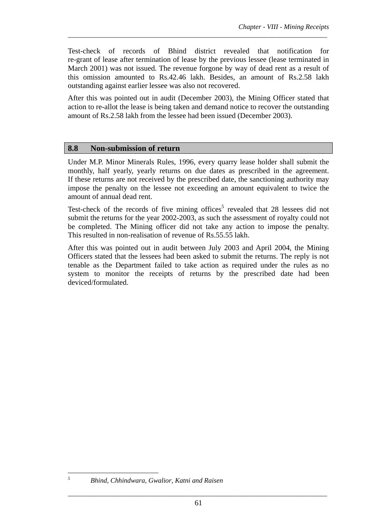Test-check of records of Bhind district revealed that notification for re-grant of lease after termination of lease by the previous lessee (lease terminated in March 2001) was not issued. The revenue forgone by way of dead rent as a result of this omission amounted to Rs.42.46 lakh. Besides, an amount of Rs.2.58 lakh outstanding against earlier lessee was also not recovered.

\_\_\_\_\_\_\_\_\_\_\_\_\_\_\_\_\_\_\_\_\_\_\_\_\_\_\_\_\_\_\_\_\_\_\_\_\_\_\_\_\_\_\_\_\_\_\_\_\_\_\_\_\_\_\_\_\_\_\_\_\_\_\_\_\_\_\_\_\_\_\_\_\_\_\_

After this was pointed out in audit (December 2003), the Mining Officer stated that action to re-allot the lease is being taken and demand notice to recover the outstanding amount of Rs.2.58 lakh from the lessee had been issued (December 2003).

## **8.8 Non-submission of return**

Under M.P. Minor Minerals Rules, 1996, every quarry lease holder shall submit the monthly, half yearly, yearly returns on due dates as prescribed in the agreement. If these returns are not received by the prescribed date, the sanctioning authority may impose the penalty on the lessee not exceeding an amount equivalent to twice the amount of annual dead rent.

Test-check of the records of five mining offices<sup>5</sup> revealed that 28 lessees did not submit the returns for the year 2002-2003, as such the assessment of royalty could not be completed. The Mining officer did not take any action to impose the penalty. This resulted in non-realisation of revenue of Rs.55.55 lakh.

After this was pointed out in audit between July 2003 and April 2004, the Mining Officers stated that the lessees had been asked to submit the returns. The reply is not tenable as the Department failed to take action as required under the rules as no system to monitor the receipts of returns by the prescribed date had been deviced/formulated.

 *5*

*Bhind, Chhindwara, Gwalior, Katni and Raisen*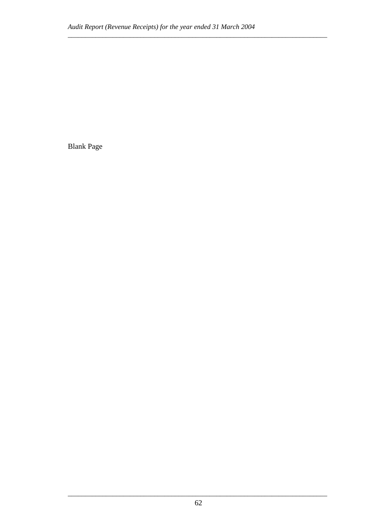**Blank Page**